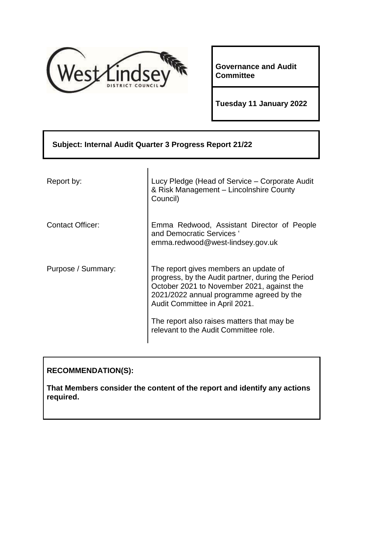

**Governance and Audit Committee**

**Tuesday 11 January 2022**

| Subject: Internal Audit Quarter 3 Progress Report 21/22 |                                                                                                                                                                                                                                                                                                               |
|---------------------------------------------------------|---------------------------------------------------------------------------------------------------------------------------------------------------------------------------------------------------------------------------------------------------------------------------------------------------------------|
| Report by:                                              | Lucy Pledge (Head of Service – Corporate Audit<br>& Risk Management - Lincolnshire County<br>Council)                                                                                                                                                                                                         |
| <b>Contact Officer:</b>                                 | Emma Redwood, Assistant Director of People<br>and Democratic Services '<br>emma.redwood@west-lindsey.gov.uk                                                                                                                                                                                                   |
| Purpose / Summary:                                      | The report gives members an update of<br>progress, by the Audit partner, during the Period<br>October 2021 to November 2021, against the<br>2021/2022 annual programme agreed by the<br>Audit Committee in April 2021.<br>The report also raises matters that may be<br>relevant to the Audit Committee role. |

# **RECOMMENDATION(S):**

**That Members consider the content of the report and identify any actions required.**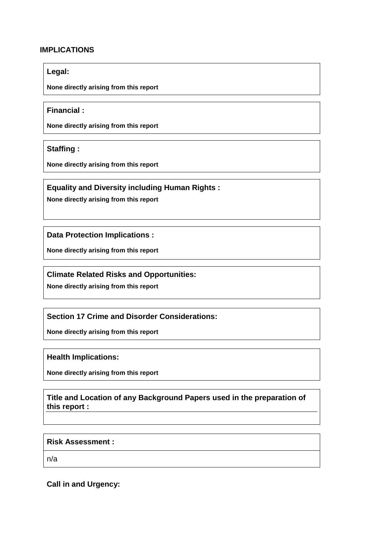#### **IMPLICATIONS**

#### **Legal:**

**None directly arising from this report**

#### **Financial :**

**None directly arising from this report**

**Staffing :**

**None directly arising from this report**

## **Equality and Diversity including Human Rights :**

**None directly arising from this report**

**Data Protection Implications :**

**None directly arising from this report**

## **Climate Related Risks and Opportunities:**

**None directly arising from this report**

## **Section 17 Crime and Disorder Considerations:**

**None directly arising from this report**

**Health Implications:**

**None directly arising from this report**

## **Title and Location of any Background Papers used in the preparation of this report :**

#### **Risk Assessment :**

n/a

## **Call in and Urgency:**